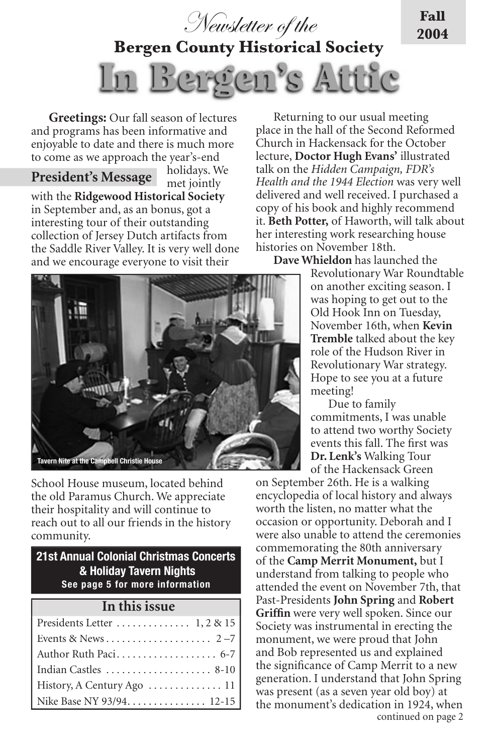

**Bergen County Historical Society**



holidays. We

**Greetings:** Our fall season of lectures and programs has been informative and enjoyable to date and there is much more to come as we approach the year's-end

# **President's Message**

met jointly with the **Ridgewood Historical Society** in September and, as an bonus, got a interesting tour of their outstanding collection of Jersey Dutch artifacts from the Saddle River Valley. It is very well done and we encourage everyone to visit their

Returning to our usual meeting place in the hall of the Second Reformed Church in Hackensack for the October lecture, **Doctor Hugh Evans'** illustrated talk on the *Hidden Campaign, FDR's Health and the 1944 Election* was very well delivered and well received. I purchased a copy of his book and highly recommend it. **Beth Potter,** of Haworth, will talk about her interesting work researching house histories on November 18th.

**Fall 2004**

**Dave Whieldon** has launched the

Revolutionary War Roundtable on another exciting season. I was hoping to get out to the Old Hook Inn on Tuesday, November 16th, when **Kevin Tremble** talked about the key role of the Hudson River in Revolutionary War strategy. Hope to see you at a future meeting!

Due to family commitments, I was unable to attend two worthy Society events this fall. The first was **Dr. Lenk's** Walking Tour of the Hackensack Green

continued on page 2 on September 26th. He is a walking encyclopedia of local history and always worth the listen, no matter what the occasion or opportunity. Deborah and I were also unable to attend the ceremonies commemorating the 80th anniversary of the **Camp Merrit Monument,** but I understand from talking to people who attended the event on November 7th, that Past-Presidents **John Spring** and **Robert Griffin** were very well spoken. Since our Society was instrumental in erecting the monument, we were proud that John and Bob represented us and explained the significance of Camp Merrit to a new generation. I understand that John Spring was present (as a seven year old boy) at the monument's dedication in 1924, when

School House museum, located behind the old Paramus Church. We appreciate their hospitality and will continue to reach out to all our friends in the history community.

## **21st Annual Colonial Christmas Concerts & Holiday Tavern Nights See page 5 for more information**

 **In this issue**

| Indian Castles  8-10       |
|----------------------------|
| History, A Century Ago  11 |
| Nike Base NY 93/94 12-15   |

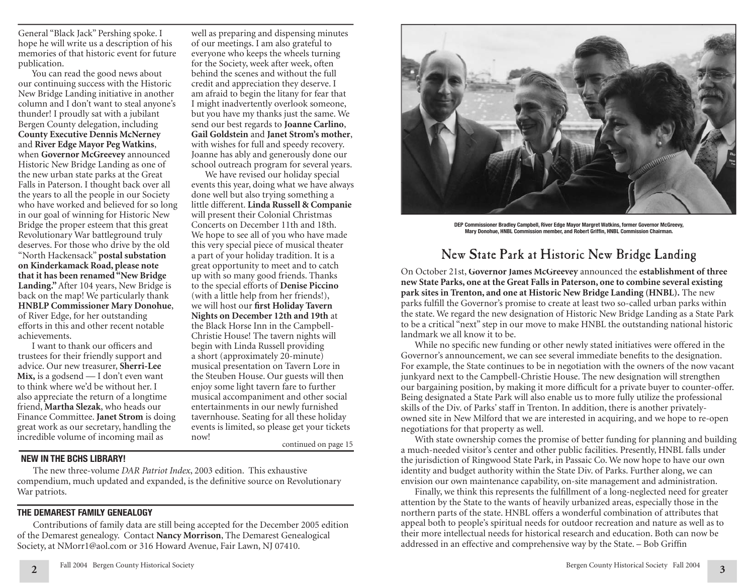General "Black Jack" Pershing spoke. I hope he will write us a description of his memories of that historic event for future publication.

You can read the good news about our continuing success with the Historic New Bridge Landing initiative in another column and I don't want to steal anyone's thunder! I proudly sat with a jubilant Bergen County delegation, including **County Executive Dennis McNerney**  and **River Edge Mayor Peg Watkins**, when **Governor McGreevey** announced Historic New Bridge Landing as one of the new urban state parks at the Great Falls in Paterson. I thought back over all the years to all the people in our Society who have worked and believed for so long in our goal of winning for Historic New Bridge the proper esteem that this great Revolutionary War battleground truly deserves. For those who drive by the old "North Hackensack" **postal substation on Kinderkamack Road, please note that it has been renamed "New Bridge Landing."** After 104 years, New Bridge is back on the map! We particularly thank **HNBLP Commissioner Mary Donohue**, of River Edge, for her outstanding efforts in this and other recent notable achievements.

I want to thank our officers and trustees for their friendly support and advice. Our new treasurer, **Sherri-Lee Mix,** is a godsend — I don't even want to think where we'd be without her. I also appreciate the return of a longtime friend, **Martha Slezak**, who heads our Finance Committee. **Janet Strom** is doing great work as our secretary, handling the incredible volume of incoming mail as mow!<br>continued on page 15

well as preparing and dispensing minutes of our meetings. I am also grateful to everyone who keeps the wheels turning for the Society, week after week, often behind the scenes and without the full credit and appreciation they deserve. I am afraid to begin the litany for fear that I might inadvertently overlook someone, but you have my thanks just the same. We send our best regards to **Joanne Carlino**, **Gail Goldstein** and **Janet Strom's mother**, with wishes for full and speedy recovery. Joanne has ably and generously done our school outreach program for several years.

We have revised our holiday special events this year, doing what we have always done well but also trying something a little different. **Linda Russell & Companie** will present their Colonial Christmas Concerts on December 11th and 18th. We hope to see all of you who have made this very special piece of musical theater a part of your holiday tradition. It is a great opportunity to meet and to catch up with so many good friends. Thanks to the special efforts of **Denise Piccino** (with a little help from her friends!), we will host our **first Holiday Tavern Nights on December 12th and 19th** at the Black Horse Inn in the Campbell-Christie House! The tavern nights will begin with Linda Russell providing a short (approximately 20-minute) musical presentation on Tavern Lore in the Steuben House. Our guests will then enjoy some light tavern fare to further musical accompaniment and other social entertainments in our newly furnished tavernhouse. Seating for all these holiday events is limited, so please get your tickets now!

### **NEW IN THE BCHS LIBRARY!**

 The new three-volume *DAR Patriot Index*, 2003 edition. This exhaustive compendium, much updated and expanded, is the definitive source on Revolutionary War patriots.

# **THE DEMAREST FAMILY GENEALOGY**

 Contributions of family data are still being accepted for the December 2005 edition of the Demarest genealogy. Contact **Nancy Morrison**, The Demarest Genealogical Society, at NMorr1@aol.com or 316 Howard Avenue, Fair Lawn, NJ 07410.



**DEP Commissioner Bradley Campbell, River Edge Mayor Margret Watkins, former Governor McGreevy, Mary Donohue, HNBL Commission member, and Robert Griffin, HNBL Commission Chairman.** 

# New State Park at Historic New Bridge Landing

On October 21st, **Governor James McGreevey** announced the **establishment of three new State Parks, one at the Great Falls in Paterson, one to combine several existing park sites in Trenton, and one at Historic New Bridge Landing (HNBL).** The new parks fulfill the Governor's promise to create at least two so-called urban parks within the state. We regard the new designation of Historic New Bridge Landing as a State Park to be a critical "next" step in our move to make HNBL the outstanding national historic landmark we all know it to be.

While no specific new funding or other newly stated initiatives were offered in the Governor's announcement, we can see several immediate benefits to the designation. For example, the State continues to be in negotiation with the owners of the now vacant junkyard next to the Campbell-Christie House. The new designation will strengthen our bargaining position, by making it more difficult for a private buyer to counter-offer. Being designated a State Park will also enable us to more fully utilize the professional skills of the Div. of Parks' staff in Trenton. In addition, there is another privatelyowned site in New Milford that we are interested in acquiring, and we hope to re-open negotiations for that property as well.

With state ownership comes the promise of better funding for planning and building a much-needed visitor's center and other public facilities. Presently, HNBL falls under the jurisdiction of Ringwood State Park, in Passaic Co. We now hope to have our own identity and budget authority within the State Div. of Parks. Further along, we can envision our own maintenance capability, on-site management and administration.

Finally, we think this represents the fulfillment of a long-neglected need for greater attention by the State to the wants of heavily urbanized areas, especially those in the northern parts of the state. HNBL offers a wonderful combination of attributes that appeal both to people's spiritual needs for outdoor recreation and nature as well as to their more intellectual needs for historical research and education. Both can now be addressed in an effective and comprehensive way by the State. - Bob Griffin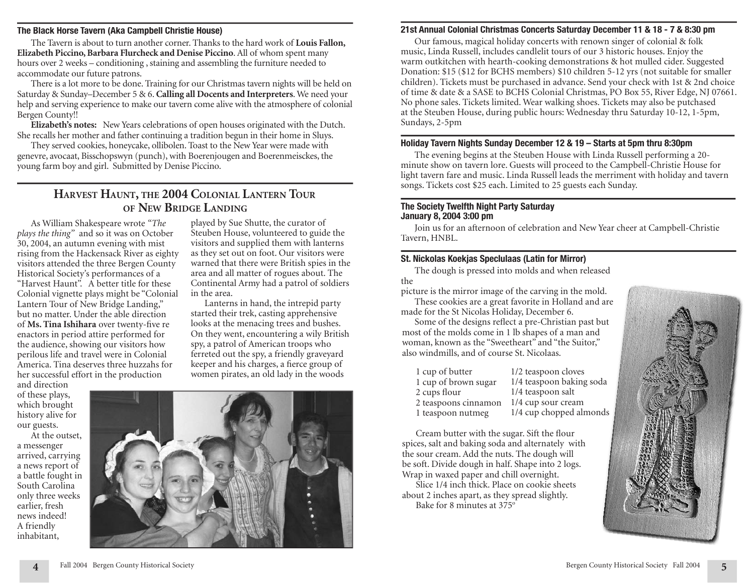#### **The Black Horse Tavern (Aka Campbell Christie House)**

The Tavern is about to turn another corner. Thanks to the hard work of **Louis Fallon, Elizabeth Piccino, Barbara Flurcheck and Denise Piccino**. All of whom spent many hours over 2 weeks – conditioning , staining and assembling the furniture needed to accommodate our future patrons.

There is a lot more to be done. Training for our Christmas tavern nights will be held on Saturday & Sunday–December 5 & 6. **Calling all Docents and Interpreters**. We need your help and serving experience to make our tavern come alive with the atmosphere of colonial Bergen County!!

**Elizabeth's notes:** New Years celebrations of open houses originated with the Dutch. She recalls her mother and father continuing a tradition begun in their home in Sluys.

They served cookies, honeycake, ollibolen. Toast to the New Year were made with genevre, avocaat, Bisschopswyn (punch), with Boerenjougen and Boerenmeisckes, the young farm boy and girl. Submitted by Denise Piccino.

# **HARVEST HAUNT, THE 2004 COLONIAL LANTERN TOUR OF NEW BRIDGE LANDING**

in the area.

played by Sue Shutte, the curator of Steuben House, volunteered to guide the visitors and supplied them with lanterns as they set out on foot. Our visitors were warned that there were British spies in the area and all matter of rogues about. The Continental Army had a patrol of soldiers

Lanterns in hand, the intrepid party started their trek, casting apprehensive looks at the menacing trees and bushes. On they went, encountering a wily British spy, a patrol of American troops who ferreted out the spy, a friendly graveyard keeper and his charges, a fierce group of women pirates, an old lady in the woods

As William Shakespeare wrote *"The plays the thing"* and so it was on October 30, 2004, an autumn evening with mist rising from the Hackensack River as eighty visitors attended the three Bergen County Historical Society's performances of a "Harvest Haunt". A better title for these Colonial vignette plays might be "Colonial Lantern Tour of New Bridge Landing," but no matter. Under the able direction of Ms. Tina Ishihara over twenty-five re enactors in period attire performed for the audience, showing our visitors how perilous life and travel were in Colonial America. Tina deserves three huzzahs for her successful effort in the production

and direction of these plays, which brought history alive for our guests.

At the outset, a messenger arrived, carrying a news report of a battle fought in South Carolina only three weeks earlier, fresh news indeed! A friendly inhabitant,



# **21st Annual Colonial Christmas Concerts Saturday December 11 & 18 - 7 & 8:30 pm**

Our famous, magical holiday concerts with renown singer of colonial & folk music, Linda Russell, includes candlelit tours of our 3 historic houses. Enjoy the warm outkitchen with hearth-cooking demonstrations & hot mulled cider. Suggested Donation: \$15 (\$12 for BCHS members) \$10 children 5-12 yrs (not suitable for smaller children). Tickets must be purchased in advance. Send your check with 1st & 2nd choice of time & date & a SASE to BCHS Colonial Christmas, PO Box 55, River Edge, NJ 07661. No phone sales. Tickets limited. Wear walking shoes. Tickets may also be putchased at the Steuben House, during public hours: Wednesday thru Saturday 10-12, 1-5pm, Sundays, 2-5pm

## **Holiday Tavern Nights Sunday December 12 & 19 – Starts at 5pm thru 8:30pm**

The evening begins at the Steuben House with Linda Russell performing a 20 minute show on tavern lore. Guests will proceed to the Campbell-Christie House for light tavern fare and music. Linda Russell leads the merriment with holiday and tavern songs. Tickets cost \$25 each. Limited to 25 guests each Sunday.

#### **The Society Twelfth Night Party Saturday January 8, 2004 3:00 pm**

Join us for an afternoon of celebration and New Year cheer at Campbell-Christie Tavern, HNBL.

# **St. Nickolas Koekjas Speclulaas (Latin for Mirror)**

The dough is pressed into molds and when released the

picture is the mirror image of the carving in the mold. These cookies are a great favorite in Holland and are

made for the St Nicolas Holiday, December 6. Some of the designs reflect a pre-Christian past but

most of the molds come in 1 lb shapes of a man and woman, known as the "Sweetheart" and "the Suitor," also windmills, and of course St. Nicolaas.

| 1 cup of butter      | 1/2 teaspoon cloves      |
|----------------------|--------------------------|
| 1 cup of brown sugar | 1/4 teaspoon baking soda |
| 2 cups flour         | 1/4 teaspoon salt        |
| 2 teaspoons cinnamon | 1/4 cup sour cream       |
| 1 teaspoon nutmeg    | 1/4 cup chopped almonds  |

Cream butter with the sugar. Sift the flour spices, salt and baking soda and alternately with the sour cream. Add the nuts. The dough will be soft. Divide dough in half. Shape into 2 logs. Wrap in waxed paper and chill overnight.

Slice 1/4 inch thick. Place on cookie sheets about 2 inches apart, as they spread slightly. Bake for 8 minutes at 375°

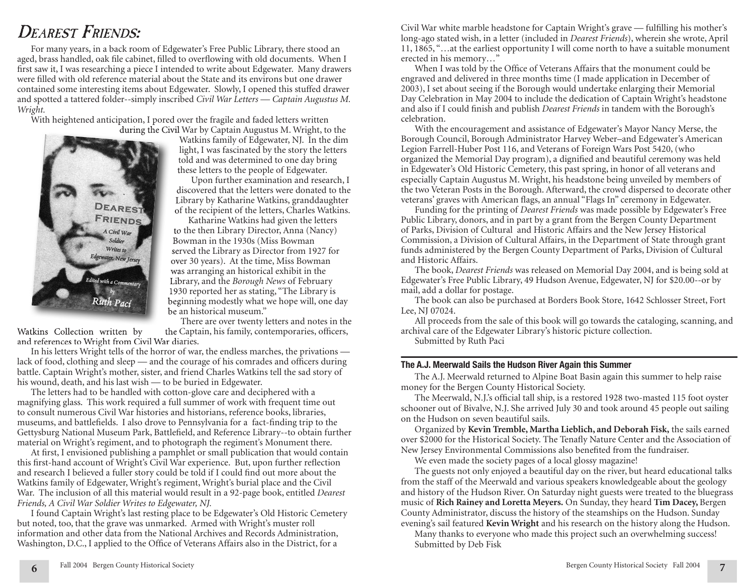# *DEAREST FRIENDS:*

For many years, in a back room of Edgewater's Free Public Library, there stood an aged, brass handled, oak file cabinet, filled to overflowing with old documents. When I first saw it, I was researching a piece I intended to write about Edgewater. Many drawers were filled with old reference material about the State and its environs but one drawer contained some interesting items about Edgewater. Slowly, I opened this stuffed drawer and spotted a tattered folder--simply inscribed *Civil War Letters — Captain Augustus M. Wright.*

With heightened anticipation, I pored over the fragile and faded letters written during the Civil War by Captain Augustus M. Wright, to the



Watkins family of Edgewater, NJ. In the dim light, I was fascinated by the story the letters told and was determined to one day bring these letters to the people of Edgewater.

Upon further examination and research, I discovered that the letters were donated to the Library by Katharine Watkins, granddaughter of the recipient of the letters, Charles Watkins.

Katharine Watkins had given the letters to the then Library Director, Anna (Nancy) Bowman in the 1930s (Miss Bowman served the Library as Director from 1927 for over 30 years). At the time, Miss Bowman was arranging an historical exhibit in the Library, and the *Borough News* of February 1930 reported her as stating, "The Library is beginning modestly what we hope will, one day be an historical museum."

There are over twenty letters and notes in the Watkins Collection written by the Captain, his family, contemporaries, officers, and references to Wright from Civil War diaries.

In his letters Wright tells of the horror of war, the endless marches, the privations lack of food, clothing and sleep — and the courage of his comrades and officers during battle. Captain Wright's mother, sister, and friend Charles Watkins tell the sad story of his wound, death, and his last wish — to be buried in Edgewater.

The letters had to be handled with cotton-glove care and deciphered with a magnifying glass. This work required a full summer of work with frequent time out to consult numerous Civil War histories and historians, reference books, libraries, museums, and battlefields. I also drove to Pennsylvania for a fact-finding trip to the Gettysburg National Museum Park, Battlefield, and Reference Library--to obtain further material on Wright's regiment, and to photograph the regiment's Monument there.

At first, I envisioned publishing a pamphlet or small publication that would contain this first-hand account of Wright's Civil War experience. But, upon further reflection and research I believed a fuller story could be told if I could find out more about the Watkins family of Edgewater, Wright's regiment, Wright's burial place and the Civil War. The inclusion of all this material would result in a 92-page book, entitled *Dearest Friends, A Civil War Soldier Writes to Edgewater, NJ.* 

I found Captain Wright's last resting place to be Edgewater's Old Historic Cemetery but noted, too, that the grave was unmarked. Armed with Wright's muster roll information and other data from the National Archives and Records Administration, Washington, D.C., I applied to the Office of Veterans Affairs also in the District, for a

Civil War white marble headstone for Captain Wright's grave — fulfilling his mother's long-ago stated wish, in a letter (included in *Dearest Friends*), wherein she wrote, April 11, 1865, "…at the earliest opportunity I will come north to have a suitable monument erected in his memory…"

When I was told by the Office of Veterans Affairs that the monument could be engraved and delivered in three months time (I made application in December of 2003), I set about seeing if the Borough would undertake enlarging their Memorial Day Celebration in May 2004 to include the dedication of Captain Wright's headstone and also if I could finish and publish *Dearest Friends* in tandem with the Borough's celebration.

With the encouragement and assistance of Edgewater's Mayor Nancy Merse, the Borough Council, Borough Administrator Harvey Weber–and Edgewater's American Legion Farrell-Huber Post 116, and Veterans of Foreign Wars Post 5420, (who organized the Memorial Day program), a dignified and beautiful ceremony was held in Edgewater's Old Historic Cemetery, this past spring, in honor of all veterans and especially Captain Augustus M. Wright, his headstone being unveiled by members of the two Veteran Posts in the Borough. Afterward, the crowd dispersed to decorate other veterans' graves with American flags, an annual "Flags In" ceremony in Edgewater.

Funding for the printing of *Dearest Friends* was made possible by Edgewater's Free Public Library, donors, and in part by a grant from the Bergen County Department of Parks, Division of Cultural and Historic Affairs and the New Jersey Historical Commission, a Division of Cultural Affairs, in the Department of State through grant funds administered by the Bergen County Department of Parks, Division of Cultural and Historic Affairs.

The book, *Dearest Friends* was released on Memorial Day 2004, and is being sold at Edgewater's Free Public Library, 49 Hudson Avenue, Edgewater, NJ for \$20.00--or by mail, add a dollar for postage.

The book can also be purchased at Borders Book Store, 1642 Schlosser Street, Fort Lee, NJ 07024.

All proceeds from the sale of this book will go towards the cataloging, scanning, and archival care of the Edgewater Library's historic picture collection.

Submitted by Ruth Paci

#### **The A.J. Meerwald Sails the Hudson River Again this Summer**

The A.J. Meerwald returned to Alpine Boat Basin again this summer to help raise money for the Bergen County Historical Society.

The Meerwald, N.J.'s official tall ship, is a restored 1928 two-masted 115 foot oyster schooner out of Bivalve, N.J. She arrived July 30 and took around 45 people out sailing on the Hudson on seven beautiful sails.

Organized by **Kevin Tremble, Martha Lieblich, and Deborah Fisk,** the sails earned over \$2000 for the Historical Society. The Tenafly Nature Center and the Association of New Jersey Environmental Commissions also benefited from the fundraiser.

We even made the society pages of a local glossy magazine!

The guests not only enjoyed a beautiful day on the river, but heard educational talks from the staff of the Meerwald and various speakers knowledgeable about the geology and history of the Hudson River. On Saturday night guests were treated to the bluegrass music of **Rich Rainey and Loretta Meyers.** On Sunday, they heard **Tim Dacey,** Bergen County Administrator, discuss the history of the steamships on the Hudson. Sunday evening's sail featured **Kevin Wright** and his research on the history along the Hudson.

Many thanks to everyone who made this project such an overwhelming success! Submitted by Deb Fisk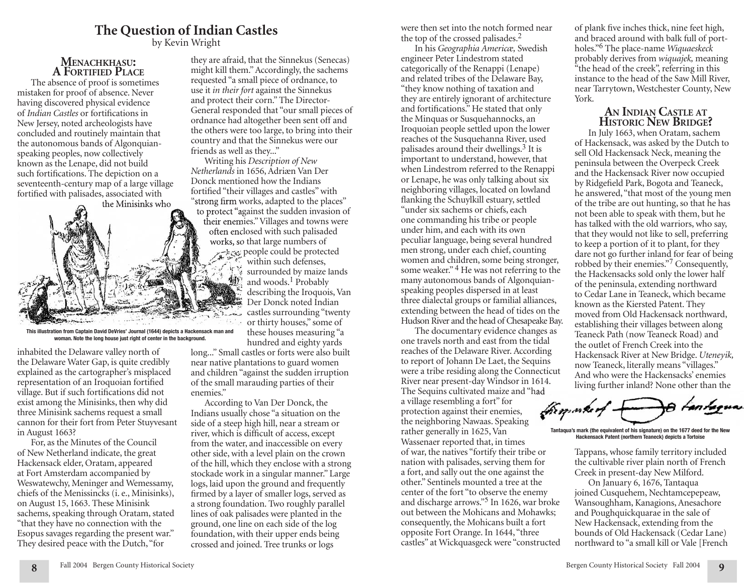# **The Question of Indian Castles**

by Kevin Wright

## **MENACHKHASU: A FORTIFIED PLACE**

The absence of proof is sometimes mistaken for proof of absence. Never having discovered physical evidence of *Indian Castles* or fortifications in New Jersey, noted archeologists have concluded and routinely maintain that the autonomous bands of Algonquianspeaking peoples, now collectively known as the Lenape, did not build such fortifications. The depiction on a seventeenth-century map of a large village fortified with palisades, associated with the Minisinks who



**This illustration from Captain David DeVries' Journal (1644) depicts a Hackensack man and woman. Note the long house just right of center in the background.**

inhabited the Delaware valley north of the Delaware Water Gap, is quite credibly explained as the cartographer's misplaced representation of an Iroquoian fortified village. But if such fortifications did not exist among the Minisinks, then why did three Minisink sachems request a small cannon for their fort from Peter Stuyvesant in August 1663?

For, as the Minutes of the Council of New Netherland indicate, the great Hackensack elder, Oratam, appeared at Fort Amsterdam accompanied by Weswatewchy, Meninger and Wemessamy, chiefs of the Menissincks (i. e., Minisinks), on August 15, 1663. These Minisink sachems, speaking through Oratam, stated "that they have no connection with the Esopus savages regarding the present war." They desired peace with the Dutch, "for

**8**

they are afraid, that the Sinnekus (Senecas) might kill them." Accordingly, the sachems requested "a small piece of ordnance, to use it *in their fort* against the Sinnekus and protect their corn." The Director-General responded that "our small pieces of ordnance had altogether been sent off and the others were too large, to bring into their country and that the Sinnekus were our friends as well as they..."

Writing his *Description of New Netherlands* in 1656, Adriæn Van Der in 1656,Adriæn Van Der Donck mentioned how the Indians fortified "their villages and castles" with " strong firm works, adapted to the places" to protect "against the sudden invasion of their enemies." Villages and towns were often enclosed with such palisaded works, so that large numbers of people could be protected within such defenses,  $47$ surrounded by maize lands and woods.<sup>1</sup> Probably describing the Iroquois, Van Der Donck noted Indian castles surrounding "twenty منسدة or thirty houses," some of these houses measuring "a hundred and eighty yards

long..." Small castles or forts were also built near native plantations to guard women and children "against the sudden irruption of the small marauding parties of their enemies."

According to Van Der Donck, the Indians usually chose "a situation on the side of a steep high hill, near a stream or river, which is difficult of access, except from the water, and inaccessible on every other side, with a level plain on the crown of the hill, which they enclose with a strong stockade work in a singular manner." Large logs, laid upon the ground and frequently firmed by a layer of smaller logs, served as a strong foundation. Two roughly parallel lines of oak palisades were planted in the ground, one line on each side of the log foundation, with their upper ends being crossed and joined. Tree trunks or logs

were then set into the notch formed near the top of the crossed palisades.<sup>2</sup>

In his *Geographia Americæ,* Swedish engineer Peter Lindestrom stated categorically of the Renappi (Lenape) and related tribes of the Delaware Bay, "they know nothing of taxation and they are entirely ignorant of architecture and fortifications." He stated that only the Minquas or Susquehannocks, an Iroquoian people settled upon the lower reaches of the Susquehanna River, used palisades around their dwellings.3 It is important to understand, however, that when Lindestrom referred to the Renappi or Lenape, he was only talking about six neighboring villages, located on lowland flanking the Schuylkill estuary, settled "under six sachems or chiefs, each one commanding his tribe or people under him, and each with its own peculiar language, being several hundred men strong, under each chief, counting women and children, some being stronger, some weaker."<sup>4</sup> He was not referring to the many autonomous bands of Algonquianspeaking peoples dispersed in at least three dialectal groups or familial alliances, extending between the head of tides on the Hudson River and the head of Chesapeake Bay.

The documentary evidence changes as one travels north and east from the tidal reaches of the Delaware River. According to report of Johann De Laet, the Sequins were a tribe residing along the Connecticut River near present-day Windsor in 1614.

The Sequins cultivated maize and "had a village resembling a fort" for protection against their enemies, the neighboring Nawaas. Speaking rather generally in 1625, Van Wassenaer reported that, in times of war, the natives "fortify their tribe or nation with palisades, serving them for a fort, and sally out the one against the other." Sentinels mounted a tree at the center of the fort "to observe the enemy and discharge arrows."5 In 1626, war broke out between the Mohicans and Mohawks; consequently, the Mohicans built a fort opposite Fort Orange. In 1644, "three castles" at Wickquasgeck were "constructed

of plank five inches thick, nine feet high, and braced around with balk full of portholes."6 The place-name *Wiquaeskeck* probably derives from *wiquajek,* meaning "the head of the creek", referring in this instance to the head of the Saw Mill River, near Tarrytown, Westchester County, New York.

# **AN INDIAN CASTLE AT HISTORIC NEW BRIDGE?**

In July 1663, when Oratam, sachem of Hackensack, was asked by the Dutch to sell Old Hackensack Neck, meaning the peninsula between the Overpeck Creek and the Hackensack River now occupied by Ridgefield Park, Bogota and Teaneck, he answered, "that most of the young men of the tribe are out hunting, so that he has not been able to speak with them, but he has talked with the old warriors, who say, that they would not like to sell, preferring to keep a portion of it to plant, for they dare not go further inland for fear of being robbed by their enemies."7 Consequently, the Hackensacks sold only the lower half of the peninsula, extending northward to Cedar Lane in Teaneck, which became known as the Kiersted Patent. They moved from Old Hackensack northward, establishing their villages between along Teaneck Path (now Teaneck Road) and the outlet of French Creek into the Hackensack River at New Bridge. *Uteneyik,* now Teaneck, literally means "villages." And who were the Hackensacks' enemies living further inland? None other than the

themosker

**Tantaqua's mark (the equivalent of his signature) on the 1677 deed for the New Hackensack Patent (northern Teaneck) depicts a Tortoise**

Tappans, whose family territory included the cultivable river plain north of French Creek in present-day New Milford.

On January 6, 1676, Tantaqua joined Cusquehem, Nechtamcepepeaw, Wansoughham, Kanagions, Anesachore and Poughquickquarae in the sale of New Hackensack, extending from the bounds of Old Hackensack (Cedar Lane) northward to "a small kill or Vale [French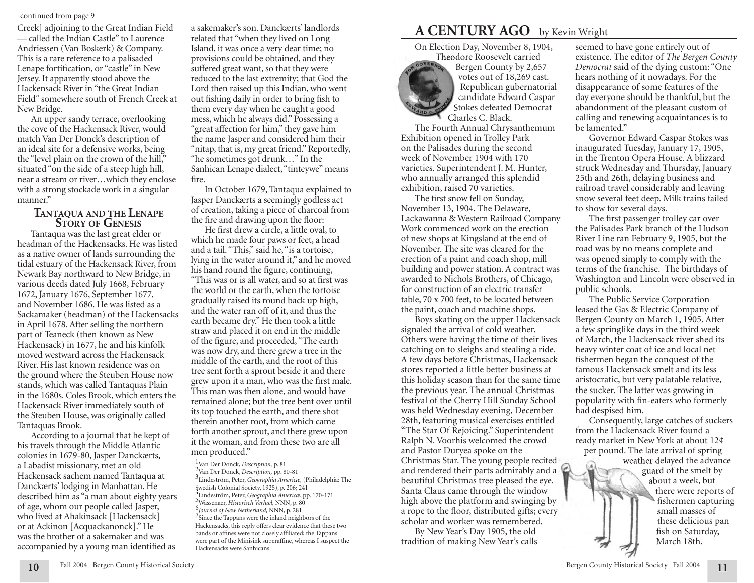#### continued from page 9

— called the Indian Castle" to Laurence Andriessen (Van Boskerk) & Company. This is a rare reference to a palisaded Lenape fortification, or "castle" in New Jersey. It apparently stood above the Hackensack River in "the Great Indian Field" somewhere south of French Creek at New Bridge.

An upper sandy terrace, overlooking the cove of the Hackensack River, would match Van Der Donck's description of an ideal site for a defensive works, being the "level plain on the crown of the hill," situated "on the side of a steep high hill, near a stream or river…which they enclose with a strong stockade work in a singular manner."

# **TANTAQUA AND THE LENAPE STORY OF GENESIS**

Tantaqua was the last great elder or headman of the Hackensacks. He was listed as a native owner of lands surrounding the tidal estuary of the Hackensack River, from Newark Bay northward to New Bridge, in various deeds dated July 1668, February 1672, January 1676, September 1677, and November 1686. He was listed as a Sackamaker (headman) of the Hackensacks in April 1678. After selling the northern part of Teaneck (then known as New Hackensack) in 1677, he and his kinfolk moved westward across the Hackensack River. His last known residence was on the ground where the Steuben House now stands, which was called Tantaquas Plain in the 1680s. Coles Brook, which enters the Hackensack River immediately south of the Steuben House, was originally called Tantaquas Brook.

According to a journal that he kept of his travels through the Middle Atlantic colonies in 1679-80, Jasper Danckærts, a Labadist missionary, met an old Hackensack sachem named Tantaqua at Danckærts' lodging in Manhattan. He described him as "a man about eighty years of age, whom our people called Jasper, who lived at Ahakinsack [Hackensack] or at Ackinon [Acquackanonck]." He was the brother of a sakemaker and was accompanied by a young man identified as

**10**

a sakemaker's son. Danckærts' landlords related that "when they lived on Long Island, it was once a very dear time; no provisions could be obtained, and they suffered great want, so that they were reduced to the last extremity; that God the Lord then raised up this Indian, who went out fishing daily in order to bring fish to them every day when he caught a good mess, which he always did." Possessing a "great affection for him," they gave him the name Jasper and considered him their "nitap, that is, my great friend." Reportedly, "he sometimes got drunk…" In the Sanhican Lenape dialect, "tinteywe" means fire.

In October 1679, Tantaqua explained to Jasper Danckærts a seemingly godless act of creation, taking a piece of charcoal from the fire and drawing upon the floor:

He first drew a circle, a little oval, to which he made four paws or feet, a head and a tail. "This," said he, "is a tortoise, lying in the water around it," and he moved his hand round the figure, continuing,

"This was or is all water, and so at first was the world or the earth, when the tortoise gradually raised its round back up high, and the water ran off of it, and thus the earth became dry." He then took a little straw and placed it on end in the middle of the figure, and proceeded, "The earth was now dry, and there grew a tree in the middle of the earth, and the root of this tree sent forth a sprout beside it and there grew upon it a man, who was the first male. This man was then alone, and would have remained alone; but the tree bent over until its top touched the earth, and there shot therein another root, from which came forth another sprout, and there grew upon it the woman, and from these two are all men produced."

<sup>1</sup>Van Der Donck, *Description,* p. 81 <sup>2</sup>Van Der Donck, *Description,* pp. 80-81 <sup>3</sup>Lindeström, Peter, *Geographia Americæ,* (Philadelphia: The Swedish Colonial Society, 1925), p. 206; 241 <sup>4</sup>Lindeström, Peter, *Geographia Americæ*, pp. 170-171 <sup>5</sup>Wassenaer, *Historisch Verhæl,* NNN, p. 80 <sup>6</sup>*Journal of New Netherland, Journal of New Netherland,* NNN, p. 281 <sup>7</sup> <sup>6</sup>Journal of New Netherland, NNN, p. 281 Since the Tappans were the inland neighbors of the Hackensacks, this reply offers clear evidence that these two bands or affines were not closely affiliated; the Tappans were part of the Minisink superaffine, whereas I suspect the Hackensacks were Sanhicans.

# Creek] adjoining to the Great Indian Field a sakemaker's son. Danckærts' landlords **A CENTURY AGO** by Kevin Wright

On Election Day, November 8, 1904,



Theodore Roosevelt carried Bergen County by 2,657 votes out of 18,269 cast. Republican gubernatorial candidate Edward Caspar Stokes defeated Democrat Charles C. Black.

The Fourth Annual Chrysanthemum Exhibition opened in Trolley Park on the Palisades during the second week of November 1904 with 170 varieties. Superintendent J. M. Hunter, who annually arranged this splendid exhibition, raised 70 varieties.

The first snow fell on Sunday, November 13, 1904. The Delaware, Lackawanna & Western Railroad Company Work commenced work on the erection of new shops at Kingsland at the end of November. The site was cleared for the erection of a paint and coach shop, mill building and power station. A contract was awarded to Nichols Brothers, of Chicago, for construction of an electric transfer table, 70 x 700 feet, to be located between the paint, coach and machine shops.

Boys skating on the upper Hackensack signaled the arrival of cold weather. Others were having the time of their lives catching on to sleighs and stealing a ride. A few days before Christmas, Hackensack stores reported a little better business at this holiday season than for the same time the previous year. The annual Christmas festival of the Cherry Hill Sunday School was held Wednesday evening, December 28th, featuring musical exercises entitled "The Star Of Rejoicing." Superintendent Ralph N. Voorhis welcomed the crowd and Pastor Duryea spoke on the Christmas Star. The young people recited and rendered their parts admirably and a beautiful Christmas tree pleased the eye. Santa Claus came through the window high above the platform and swinging by a rope to the floor, distributed gifts; every scholar and worker was remembered.

By New Year's Day 1905, the old tradition of making New Year's calls

seemed to have gone entirely out of existence. The editor of *The Bergen County Democrat* said of the dying custom: "One hears nothing of it nowadays. For the disappearance of some features of the day everyone should be thankful, but the abandonment of the pleasant custom of calling and renewing acquaintances is to be lamented."

Governor Edward Caspar Stokes was inaugurated Tuesday, January 17, 1905, in the Trenton Opera House. A blizzard struck Wednesday and Thursday, January 25th and 26th, delaying business and railroad travel considerably and leaving snow several feet deep. Milk trains failed to show for several days.

The first passenger trolley car over the Palisades Park branch of the Hudson River Line ran February 9, 1905, but the road was by no means complete and was opened simply to comply with the terms of the franchise. The birthdays of Washington and Lincoln were observed in public schools.

The Public Service Corporation leased the Gas & Electric Company of Bergen County on March 1, 1905. After a few springlike days in the third week of March, the Hackensack river shed its heavy winter coat of ice and local net fishermen began the conquest of the famous Hackensack smelt and its less aristocratic, but very palatable relative, the sucker. The latter was growing in popularity with fin-eaters who formerly had despised him.

Consequently, large catches of suckers from the Hackensack River found a ready market in New York at about 12¢ per pound. The late arrival of spring

> weather delayed the advance guard of the smelt by about a week, but there were reports of fishermen capturing small masses of these delicious pan fish on Saturday, March 18th.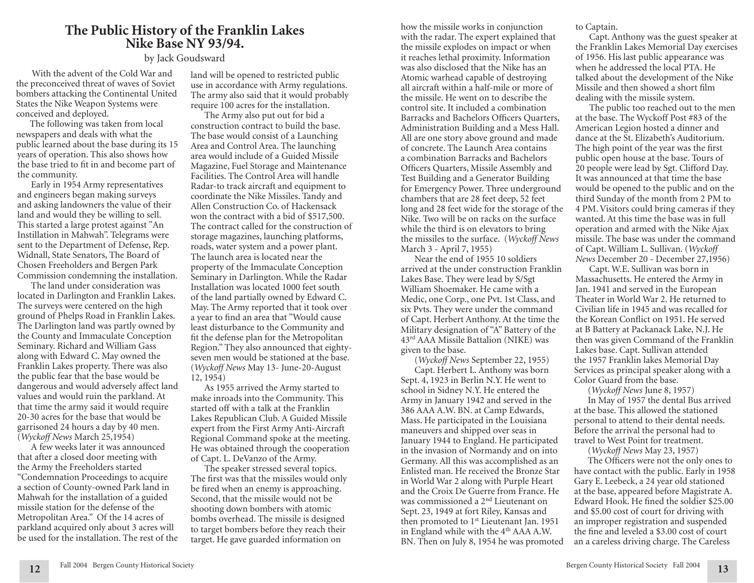# **The Public History of the Franklin Lakes Nike Base NY 93/94.**

# by Jack Goudsward

 With the advent of the Cold War and the preconceived threat of waves of Soviet bombers attacking the Continental United States the Nike Weapon Systems were conceived and deployed.

The following was taken from local newspapers and deals with what the public learned about the base during its 15 years of operation. This also shows how the base tried to fit in and become part of the community.

Early in 1954 Army representatives and engineers began making surveys and asking landowners the value of their land and would they be willing to sell. This started a large protest against "An Instillation in Mahwah". Telegrams were sent to the Department of Defense, Rep. Widnall, State Senators, The Board of Chosen Freeholders and Bergen Park Commission condemning the installation.

The land under consideration was located in Darlington and Franklin Lakes. The surveys were centered on the high ground of Phelps Road in Franklin Lakes. The Darlington land was partly owned by the County and Immaculate Conception Seminary. Richard and William Gass along with Edward C. May owned the Franklin Lakes property. There was also the public fear that the base would be dangerous and would adversely affect land values and would ruin the parkland. At that time the army said it would require 20-30 acres for the base that would be garrisoned 24 hours a day by 40 men. (*Wyckoff News* March 25,1954)

A few weeks later it was announced that after a closed door meeting with the Army the Freeholders started "Condemnation Proceedings to acquire a section of County-owned Park land in Mahwah for the installation of a guided missile station for the defense of the Metropolitan Area." Of the 14 acres of parkland acquired only about 3 acres will be used for the installation. The rest of the

**12**

land will be opened to restricted public use in accordance with Army regulations. The army also said that it would probably require 100 acres for the installation.

The Army also put out for bid a construction contract to build the base. The base would consist of a Launching Area and Control Area. The launching area would include of a Guided Missile Magazine, Fuel Storage and Maintenance Facilities. The Control Area will handle Radar-to track aircraft and equipment to coordinate the Nike Missiles. Tandy and Allen Construction Co. of Hackensack won the contract with a bid of \$517,500. The contract called for the construction of storage magazines, launching platforms, roads, water system and a power plant. The launch area is located near the property of the Immaculate Conception Seminary in Darlington. While the Radar Installation was located 1000 feet south of the land partially owned by Edward C. May. The Army reported that it took over a year to find an area that "Would cause least disturbance to the Community and fit the defense plan for the Metropolitan Region." They also announced that eightyseven men would be stationed at the base. (*Wyckoff News* May 13- June-20-August 12, 1954)

As 1955 arrived the Army started to make inroads into the Community. This started off with a talk at the Franklin Lakes Republican Club. A Guided Missile expert from the First Army Anti-Aircraft Regional Command spoke at the meeting. He was obtained through the cooperation of Capt. L. DeVanzo of the Army.

The speaker stressed several topics. The first was that the missiles would only be fired when an enemy is approaching. Second, that the missile would not be shooting down bombers with atomic bombs overhead. The missile is designed to target bombers before they reach their target. He gave guarded information on

how the missile works in conjunction with the radar. The expert explained that the missile explodes on impact or when it reaches lethal proximity. Information was also disclosed that the Nike has an Atomic warhead capable of destroying all aircraft within a half-mile or more of the missile. He went on to describe the control site. It included a combination Barracks and Bachelors Officers Quarters, Administration Building and a Mess Hall. All are one story above ground and made of concrete. The Launch Area contains a combination Barracks and Bachelors Officers Quarters, Missile Assembly and Test Building and a Generator Building for Emergency Power. Three underground chambers that are 28 feet deep, 52 feet long and 28 feet wide for the storage of the Nike. Two will be on racks on the surface while the third is on elevators to bring the missiles to the surface. (*Wyckoff News* March 3 - April 7, 1955)

Near the end of 1955 10 soldiers arrived at the under construction Franklin Lakes Base. They were lead by S/Sgt William Shoemaker. He came with a Medic, one Corp., one Pvt. 1st Class, and six Pvts. They were under the command of Capt. Herbert Anthony. At the time the Military designation of "A" Battery of the 43rd AAA Missile Battalion (NIKE) was given to the base.

(*Wyckoff News* September 22, 1955) Capt. Herbert L. Anthony was born Sept. 4, 1923 in Berlin N.Y. He went to school in Sidney N.Y. He entered the Army in January 1942 and served in the 386 AAA A.W. BN. at Camp Edwards, Mass. He participated in the Louisiana maneuvers and shipped over seas in January 1944 to England. He participated in the invasion of Normandy and on into Germany. All this was accomplished as an Enlisted man. He received the Bronze Star in World War 2 along with Purple Heart and the Croix De Guerre from France. He was commissioned a 2nd Lieutenant on Sept. 23, 1949 at fort Riley, Kansas and then promoted to 1<sup>st</sup> Lieutenant Jan. 1951 in England while with the 4<sup>th</sup> AAA A.W. BN. Then on July 8, 1954 he was promoted to Captain.

Capt. Anthony was the guest speaker at the Franklin Lakes Memorial Day exercises of 1956. His last public appearance was when he addressed the local PTA. He talked about the development of the Nike Missile and then showed a short film dealing with the missile system.

The public too reached out to the men at the base. The Wyckoff Post #83 of the American Legion hosted a dinner and dance at the St. Elizabeth's Auditorium. The high point of the year was the first public open house at the base. Tours of 20 people were lead by Sgt. Clifford Day. It was announced at that time the base would be opened to the public and on the third Sunday of the month from 2 PM to 4 PM. Visitors could bring cameras if they wanted. At this time the base was in full operation and armed with the Nike Ajax missile. The base was under the command of Capt. William L. Sullivan. (*Wyckoff News* December 20 - December 27,1956)

Capt. W.E. Sullivan was born in Massachusetts. He entered the Army in Jan. 1941 and served in the European Theater in World War 2. He returned to Civilian life in 1945 and was recalled for the Korean Conflict on 1951. He served at B Battery at Packanack Lake, N.J. He then was given Command of the Franklin Lakes base. Capt. Sullivan attended the 1957 Franklin lakes Memorial Day Services as principal speaker along with a Color Guard from the base.

(*Wyckoff News* June 8, 1957)

In May of 1957 the dental Bus arrived at the base. This allowed the stationed personal to attend to their dental needs. Before the arrival the personal had to travel to West Point for treatment.

(*Wyckoff News* May 23, 1957)

The Officers were not the only ones to have contact with the public. Early in 1958 Gary E. Leebeck, a 24 year old stationed at the base, appeared before Magistrate A. Edward Hook. He fined the soldier \$25.00 and \$5.00 cost of court for driving with an improper registration and suspended the fine and leveled a \$3.00 cost of court an a careless driving charge. The Careless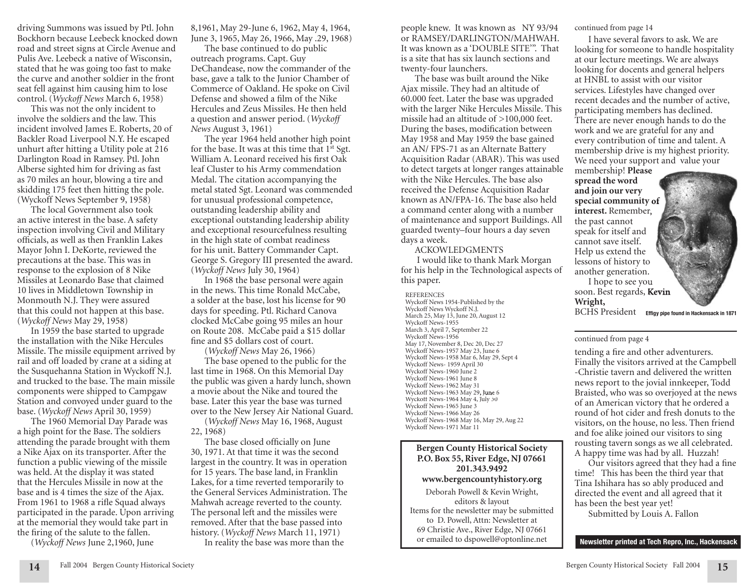driving Summons was issued by Ptl. John Bockhorn because Leebeck knocked down road and street signs at Circle Avenue and Pulis Ave. Leebeck a native of Wisconsin, stated that he was going too fast to make the curve and another soldier in the front seat fell against him causing him to lose control. (*Wyckoff News* March 6, 1958)

This was not the only incident to involve the soldiers and the law. This incident involved James E. Roberts, 20 of Backler Road Liverpool N.Y. He escaped unhurt after hitting a Utility pole at 216 Darlington Road in Ramsey. Ptl. John Alberse sighted him for driving as fast as 70 miles an hour, blowing a tire and skidding 175 feet then hitting the pole. (Wyckoff News September 9, 1958)

The local Government also took an active interest in the base. A safety inspection involving Civil and Military officials, as well as then Franklin Lakes Mayor John I. DeKorte, reviewed the precautions at the base. This was in response to the explosion of 8 Nike Missiles at Leonardo Base that claimed 10 lives in Middletown Township in Monmouth N.J. They were assured that this could not happen at this base. (*Wyckoff News* May 29, 1958)

In 1959 the base started to upgrade the installation with the Nike Hercules Missile. The missile equipment arrived by rail and off loaded by crane at a siding at the Susquehanna Station in Wyckoff N.J. and trucked to the base. The main missile components were shipped to Campgaw Station and convoyed under guard to the base. (*Wyckoff News* April 30, 1959)

The 1960 Memorial Day Parade was a high point for the Base. The soldiers attending the parade brought with them a Nike Ajax on its transporter. After the function a public viewing of the missile was held. At the display it was stated that the Hercules Missile in now at the base and is 4 times the size of the Ajax. From 1961 to 1968 a rifle Squad always participated in the parade. Upon arriving at the memorial they would take part in the firing of the salute to the fallen.

(*Wyckoff News* June 2,1960, June

8,1961, May 29-June 6, 1962, May 4, 1964, June 3, 1965, May 26, 1966, May .29, 1968)

The base continued to do public outreach programs. Capt. Guy DeChandease, now the commander of the base, gave a talk to the Junior Chamber of Commerce of Oakland. He spoke on Civil Defense and showed a film of the Nike Hercules and Zeus Missiles. He then held a question and answer period. (*Wyckoff News* August 3, 1961)

The year 1964 held another high point for the base. It was at this time that  $1<sup>st</sup> Sgt$ . William A. Leonard received his first Oak leaf Cluster to his Army commendation Medal. The citation accompanying the metal stated Sgt. Leonard was commended for unusual professional competence, outstanding leadership ability and exceptional outstanding leadership ability and exceptional resourcefulness resulting in the high state of combat readiness for his unit. Battery Commander Capt. George S. Gregory III presented the award. (*Wyckoff News* July 30, 1964)

In 1968 the base personal were again in the news. This time Ronald McCabe, a solder at the base, lost his license for 90 days for speeding. Ptl. Richard Canova clocked McCabe going 95 miles an hour on Route 208. McCabe paid a \$15 dollar fine and \$5 dollars cost of court.

(*Wyckoff News* May 26, 1966) The base opened to the public for the last time in 1968. On this Memorial Day the public was given a hardy lunch, shown a movie about the Nike and toured the base. Later this year the base was turned over to the New Jersey Air National Guard.

(*Wyckoff News* May 16, 1968, August 22, 1968)

The base closed officially on June 30, 1971. At that time it was the second largest in the country. It was in operation for 15 years. The base land, in Franklin Lakes, for a time reverted temporarily to the General Services Administration. The Mahwah acreage reverted to the county. The personal left and the missiles were removed. After that the base passed into history. (*Wyckoff News* March 11, 1971) In reality the base was more than the

people knew. It was known as NY 93/94 or RAMSEY/DARLINGTON/MAHWAH. It was known as a 'DOUBLE SITE'". That is a site that has six launch sections and twenty-four launchers.

The base was built around the Nike Ajax missile. They had an altitude of 60.000 feet. Later the base was upgraded with the larger Nike Hercules Missile. This missile had an altitude of >100,000 feet. During the bases, modification between May 1958 and May 1959 the base gained an AN/ FPS-71 as an Alternate Battery Acquisition Radar (ABAR). This was used to detect targets at longer ranges attainable with the Nike Hercules. The base also received the Defense Acquisition Radar known as AN/FPA-16. The base also held a command center along with a number of maintenance and support Buildings. All guarded twenty–four hours a day seven days a week.

#### ACKOWLEDGMENTS

 I would like to thank Mark Morgan for his help in the Technological aspects of this paper.

Wyckoff News-1963 May 29, June 6 **REFERENCES** Wyckoff News 1954-Published by the Wyckoff News Wyckoff N.J. March 25, May 13, June 20, August 12 Wyckoff News-1955 March 3, April 7, September 22 Wyckoff News-1956 May 17, November 8, Dec 20, Dec 27 Wyckoff News-1957 May 23, June 6 Wyckoff News-1958 Mar 6, May 29, Sept 4 Wyckoff News- 1959 April 30 Wyckoff News-1960 June 2 Wyckoff News-1961 June 8 Wyckoff News-1962 May 31 Wyckoff News-1964 May 4, July 30 Wyckoff News-1965 June 3 Wyckoff News-1966 May 26 Wyckoff News-1968 May 16, May 29, Aug 22 Wyckoff News-1971 Mar 11

# **Bergen County Historical Society P.O. Box 55, River Edge, NJ 07661 201.343.9492 www.bergencountyhistory.org** Deborah Powell & Kevin Wright, editors & layout

Items for the newsletter may be submitted to D. Powell, Attn: Newsletter at 69 Christie Ave., River Edge, NJ 07661 or emailed to dspowell@optonline.net

continued from page 14

I have several favors to ask. We are looking for someone to handle hospitality at our lecture meetings. We are always looking for docents and general helpers at HNBL to assist with our visitor services. Lifestyles have changed over recent decades and the number of active, participating members has declined. There are never enough hands to do the work and we are grateful for any and every contribution of time and talent. A membership drive is my highest priority. We need your support and value your

membership! **Please spread the word and join our very**  special community of **interest.** Remember, the past cannot speak for itself and cannot save itself. Help us extend the lessons of history to another generation.

I hope to see you soon. Best regards, **Kevin Wright,**

BCHS President **Effigy pipe found in Hackensack in 1871** 

#### continued from page 4

tending a fire and other adventurers. Finally the visitors arrived at the Campbell -Christie tavern and delivered the written news report to the jovial innkeeper, Todd Braisted, who was so overjoyed at the news of an American victory that he ordered a round of hot cider and fresh donuts to the visitors, on the house, no less. Then friend and foe alike joined our visitors to sing rousting tavern songs as we all celebrated. A happy time was had by all. Huzzah!

Our visitors agreed that they had a fine time! This has been the third year that Tina Ishihara has so ably produced and directed the event and all agreed that it has been the best year yet!

Submitted by Louis A. Fallon

**Newsletter printed at Tech Repro, Inc., Hackensack**